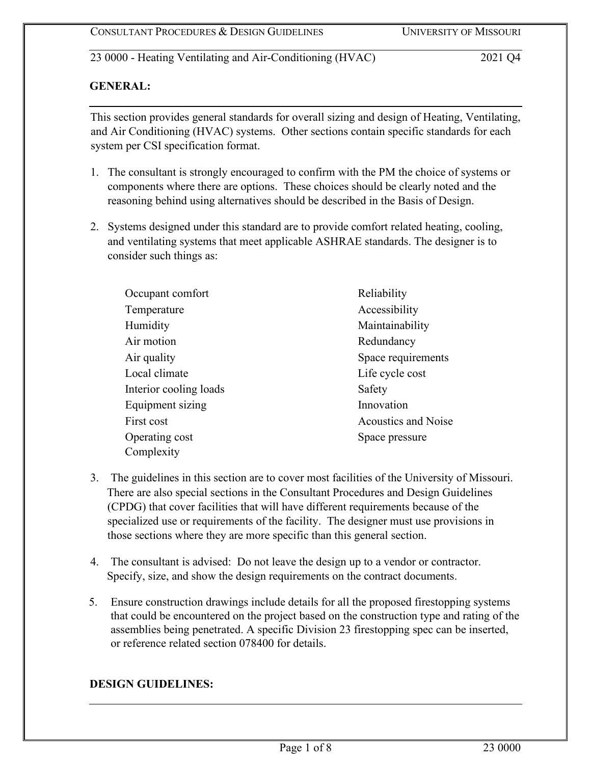# **GENERAL:**

This section provides general standards for overall sizing and design of Heating, Ventilating, and Air Conditioning (HVAC) systems. Other sections contain specific standards for each system per CSI specification format.

- 1. The consultant is strongly encouraged to confirm with the PM the choice of systems or components where there are options. These choices should be clearly noted and the reasoning behind using alternatives should be described in the Basis of Design.
- 2. Systems designed under this standard are to provide comfort related heating, cooling, and ventilating systems that meet applicable ASHRAE standards. The designer is to consider such things as:

| Occupant comfort       | Reliability                |  |
|------------------------|----------------------------|--|
| Temperature            | Accessibility              |  |
| Humidity               | Maintainability            |  |
| Air motion             | Redundancy                 |  |
| Air quality            | Space requirements         |  |
| Local climate          | Life cycle cost            |  |
| Interior cooling loads | Safety                     |  |
| Equipment sizing       | Innovation                 |  |
| First cost             | <b>Acoustics and Noise</b> |  |
| Operating cost         | Space pressure             |  |
| Complexity             |                            |  |

- 3. The guidelines in this section are to cover most facilities of the University of Missouri. There are also special sections in the Consultant Procedures and Design Guidelines (CPDG) that cover facilities that will have different requirements because of the specialized use or requirements of the facility. The designer must use provisions in those sections where they are more specific than this general section.
- 4. The consultant is advised: Do not leave the design up to a vendor or contractor. Specify, size, and show the design requirements on the contract documents.
- 5. Ensure construction drawings include details for all the proposed firestopping systems that could be encountered on the project based on the construction type and rating of the assemblies being penetrated. A specific Division 23 firestopping spec can be inserted, or reference related section 078400 for details.

## **DESIGN GUIDELINES:**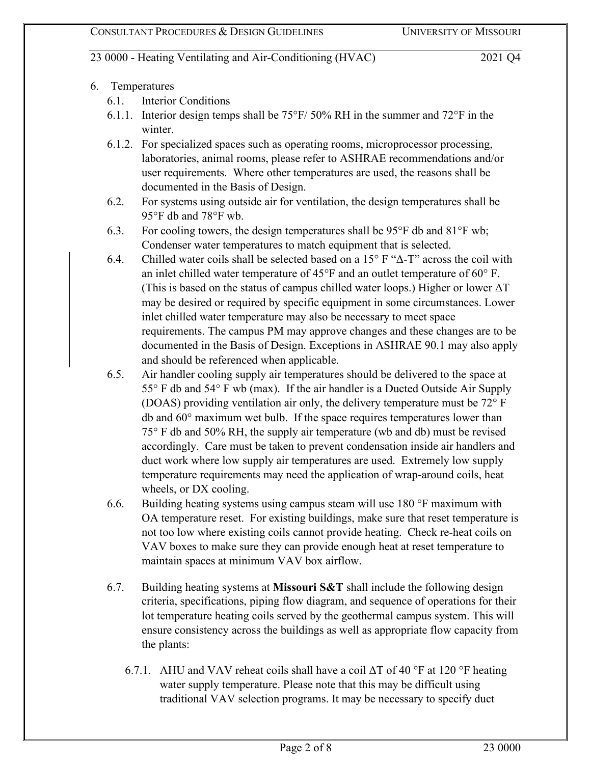- 6. Temperatures
	- 6.1. Interior Conditions
	- 6.1.1. Interior design temps shall be 75°F/ 50% RH in the summer and 72°F in the winter.
	- 6.1.2. For specialized spaces such as operating rooms, microprocessor processing, laboratories, animal rooms, please refer to ASHRAE recommendations and/or user requirements. Where other temperatures are used, the reasons shall be documented in the Basis of Design.
	- 6.2. For systems using outside air for ventilation, the design temperatures shall be 95°F db and 78°F wb.
	- 6.3. For cooling towers, the design temperatures shall be  $95^{\circ}$ F db and  $81^{\circ}$ F wb; Condenser water temperatures to match equipment that is selected.
	- 6.4. Chilled water coils shall be selected based on a 15 $\degree$  F " $\triangle$ -T" across the coil with an inlet chilled water temperature of 45°F and an outlet temperature of 60° F. (This is based on the status of campus chilled water loops.) Higher or lower  $\Delta T$ may be desired or required by specific equipment in some circumstances. Lower inlet chilled water temperature may also be necessary to meet space requirements. The campus PM may approve changes and these changes are to be documented in the Basis of Design. Exceptions in ASHRAE 90.1 may also apply and should be referenced when applicable.
	- 6.5. Air handler cooling supply air temperatures should be delivered to the space at 55° F db and 54° F wb (max). If the air handler is a Ducted Outside Air Supply (DOAS) providing ventilation air only, the delivery temperature must be 72° F db and 60° maximum wet bulb. If the space requires temperatures lower than 75° F db and 50% RH, the supply air temperature (wb and db) must be revised accordingly. Care must be taken to prevent condensation inside air handlers and duct work where low supply air temperatures are used. Extremely low supply temperature requirements may need the application of wrap-around coils, heat wheels, or DX cooling.
	- 6.6. Building heating systems using campus steam will use 180 °F maximum with OA temperature reset. For existing buildings, make sure that reset temperature is not too low where existing coils cannot provide heating. Check re-heat coils on VAV boxes to make sure they can provide enough heat at reset temperature to maintain spaces at minimum VAV box airflow.
	- 6.7. Building heating systems at **Missouri S&T** shall include the following design criteria, specifications, piping flow diagram, and sequence of operations for their lot temperature heating coils served by the geothermal campus system. This will ensure consistency across the buildings as well as appropriate flow capacity from the plants:
		- 6.7.1. AHU and VAV reheat coils shall have a coil  $\Delta T$  of 40 °F at 120 °F heating water supply temperature. Please note that this may be difficult using traditional VAV selection programs. It may be necessary to specify duct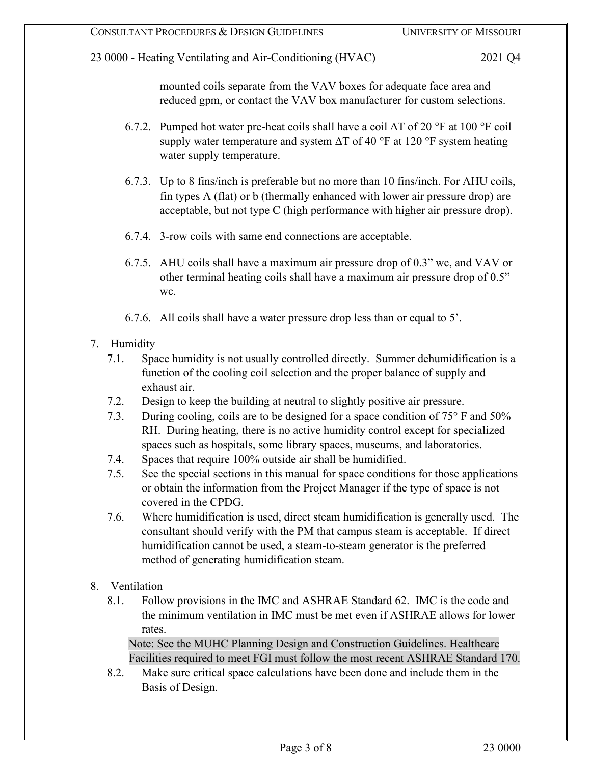mounted coils separate from the VAV boxes for adequate face area and reduced gpm, or contact the VAV box manufacturer for custom selections.

- 6.7.2. Pumped hot water pre-heat coils shall have a coil  $\Delta T$  of 20 °F at 100 °F coil supply water temperature and system  $\Delta T$  of 40 °F at 120 °F system heating water supply temperature.
- 6.7.3. Up to 8 fins/inch is preferable but no more than 10 fins/inch. For AHU coils, fin types A (flat) or b (thermally enhanced with lower air pressure drop) are acceptable, but not type C (high performance with higher air pressure drop).
- 6.7.4. 3-row coils with same end connections are acceptable.
- 6.7.5. AHU coils shall have a maximum air pressure drop of 0.3" wc, and VAV or other terminal heating coils shall have a maximum air pressure drop of 0.5" wc.
- 6.7.6. All coils shall have a water pressure drop less than or equal to 5'.
- 7. Humidity
	- 7.1. Space humidity is not usually controlled directly. Summer dehumidification is a function of the cooling coil selection and the proper balance of supply and exhaust air.
	- 7.2. Design to keep the building at neutral to slightly positive air pressure.
	- 7.3. During cooling, coils are to be designed for a space condition of 75° F and 50% RH. During heating, there is no active humidity control except for specialized spaces such as hospitals, some library spaces, museums, and laboratories.
	- 7.4. Spaces that require 100% outside air shall be humidified.
	- 7.5. See the special sections in this manual for space conditions for those applications or obtain the information from the Project Manager if the type of space is not covered in the CPDG.
	- 7.6. Where humidification is used, direct steam humidification is generally used. The consultant should verify with the PM that campus steam is acceptable. If direct humidification cannot be used, a steam-to-steam generator is the preferred method of generating humidification steam.
- 8. Ventilation
	- 8.1. Follow provisions in the IMC and ASHRAE Standard 62. IMC is the code and the minimum ventilation in IMC must be met even if ASHRAE allows for lower rates.

Note: See the MUHC Planning Design and Construction Guidelines. Healthcare Facilities required to meet FGI must follow the most recent ASHRAE Standard 170.

8.2. Make sure critical space calculations have been done and include them in the Basis of Design.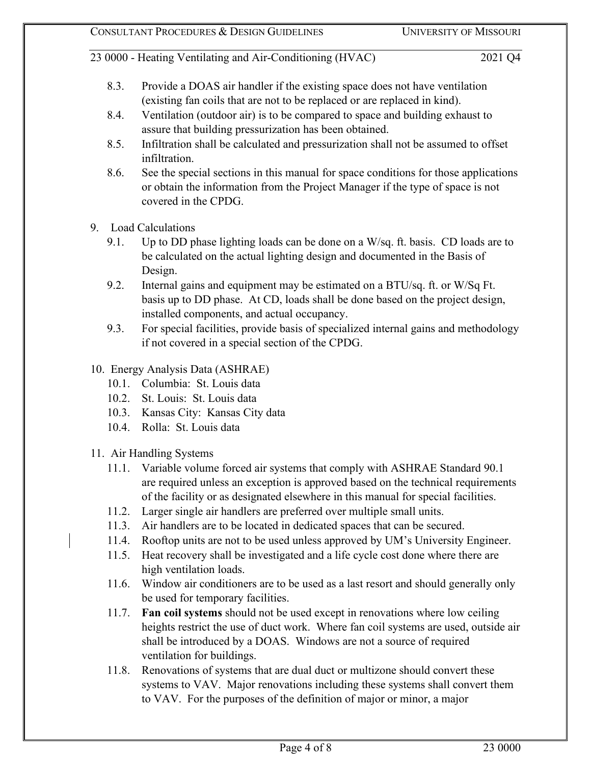- 8.3. Provide a DOAS air handler if the existing space does not have ventilation (existing fan coils that are not to be replaced or are replaced in kind).
- 8.4. Ventilation (outdoor air) is to be compared to space and building exhaust to assure that building pressurization has been obtained.
- 8.5. Infiltration shall be calculated and pressurization shall not be assumed to offset infiltration.
- 8.6. See the special sections in this manual for space conditions for those applications or obtain the information from the Project Manager if the type of space is not covered in the CPDG.
- 9. Load Calculations
	- 9.1. Up to DD phase lighting loads can be done on a W/sq. ft. basis. CD loads are to be calculated on the actual lighting design and documented in the Basis of Design.
	- 9.2. Internal gains and equipment may be estimated on a BTU/sq. ft. or W/Sq Ft. basis up to DD phase. At CD, loads shall be done based on the project design, installed components, and actual occupancy.
	- 9.3. For special facilities, provide basis of specialized internal gains and methodology if not covered in a special section of the CPDG.
- 10. Energy Analysis Data (ASHRAE)
	- 10.1. Columbia: St. Louis data
	- 10.2. St. Louis: St. Louis data
	- 10.3. Kansas City: Kansas City data
	- 10.4. Rolla: St. Louis data
- 11. Air Handling Systems
	- 11.1. Variable volume forced air systems that comply with ASHRAE Standard 90.1 are required unless an exception is approved based on the technical requirements of the facility or as designated elsewhere in this manual for special facilities.
	- 11.2. Larger single air handlers are preferred over multiple small units.
	- 11.3. Air handlers are to be located in dedicated spaces that can be secured.
	- 11.4. Rooftop units are not to be used unless approved by UM's University Engineer.
	- 11.5. Heat recovery shall be investigated and a life cycle cost done where there are high ventilation loads.
	- 11.6. Window air conditioners are to be used as a last resort and should generally only be used for temporary facilities.
	- 11.7. **Fan coil systems** should not be used except in renovations where low ceiling heights restrict the use of duct work. Where fan coil systems are used, outside air shall be introduced by a DOAS. Windows are not a source of required ventilation for buildings.
	- 11.8. Renovations of systems that are dual duct or multizone should convert these systems to VAV. Major renovations including these systems shall convert them to VAV. For the purposes of the definition of major or minor, a major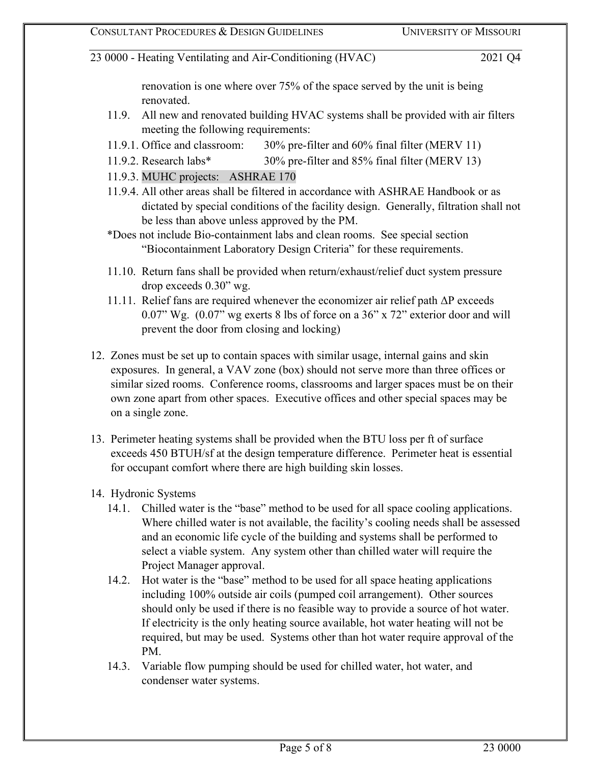renovation is one where over 75% of the space served by the unit is being renovated.

- 11.9. All new and renovated building HVAC systems shall be provided with air filters meeting the following requirements:
- 11.9.1. Office and classroom: 30% pre-filter and 60% final filter (MERV 11)
- 11.9.2. Research labs\* 30% pre-filter and 85% final filter (MERV 13)
- 11.9.3. MUHC projects: ASHRAE 170
- 11.9.4. All other areas shall be filtered in accordance with ASHRAE Handbook or as dictated by special conditions of the facility design. Generally, filtration shall not be less than above unless approved by the PM.
- \*Does not include Bio-containment labs and clean rooms. See special section "Biocontainment Laboratory Design Criteria" for these requirements.
- 11.10. Return fans shall be provided when return/exhaust/relief duct system pressure drop exceeds 0.30" wg.
- 11.11. Relief fans are required whenever the economizer air relief path ΔP exceeds 0.07" Wg. (0.07" wg exerts 8 lbs of force on a 36" x 72" exterior door and will prevent the door from closing and locking)
- 12. Zones must be set up to contain spaces with similar usage, internal gains and skin exposures. In general, a VAV zone (box) should not serve more than three offices or similar sized rooms. Conference rooms, classrooms and larger spaces must be on their own zone apart from other spaces. Executive offices and other special spaces may be on a single zone.
- 13. Perimeter heating systems shall be provided when the BTU loss per ft of surface exceeds 450 BTUH/sf at the design temperature difference. Perimeter heat is essential for occupant comfort where there are high building skin losses.
- 14. Hydronic Systems
	- 14.1. Chilled water is the "base" method to be used for all space cooling applications. Where chilled water is not available, the facility's cooling needs shall be assessed and an economic life cycle of the building and systems shall be performed to select a viable system. Any system other than chilled water will require the Project Manager approval.
	- 14.2. Hot water is the "base" method to be used for all space heating applications including 100% outside air coils (pumped coil arrangement). Other sources should only be used if there is no feasible way to provide a source of hot water. If electricity is the only heating source available, hot water heating will not be required, but may be used. Systems other than hot water require approval of the PM.
	- 14.3. Variable flow pumping should be used for chilled water, hot water, and condenser water systems.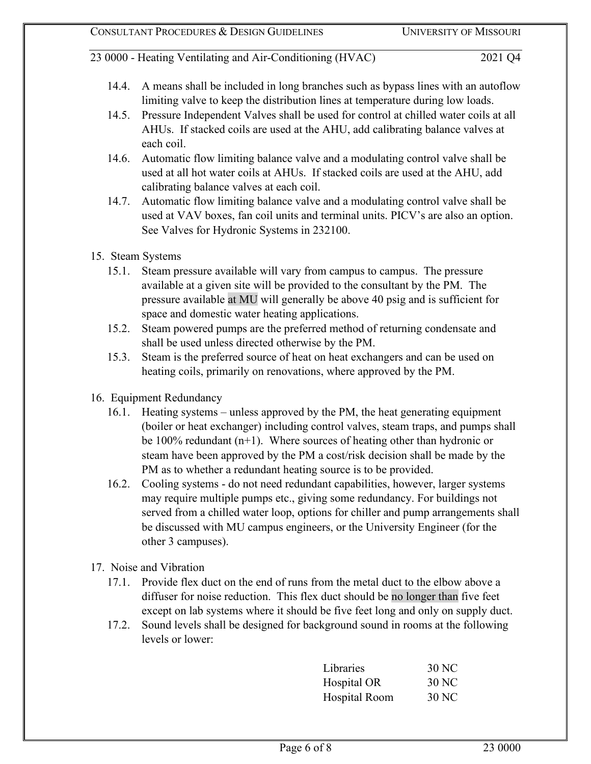- 14.4. A means shall be included in long branches such as bypass lines with an autoflow limiting valve to keep the distribution lines at temperature during low loads.
- 14.5. Pressure Independent Valves shall be used for control at chilled water coils at all AHUs. If stacked coils are used at the AHU, add calibrating balance valves at each coil.
- 14.6. Automatic flow limiting balance valve and a modulating control valve shall be used at all hot water coils at AHUs. If stacked coils are used at the AHU, add calibrating balance valves at each coil.
- 14.7. Automatic flow limiting balance valve and a modulating control valve shall be used at VAV boxes, fan coil units and terminal units. PICV's are also an option. See Valves for Hydronic Systems in 232100.
- 15. Steam Systems
	- 15.1. Steam pressure available will vary from campus to campus. The pressure available at a given site will be provided to the consultant by the PM. The pressure available at MU will generally be above 40 psig and is sufficient for space and domestic water heating applications.
	- 15.2. Steam powered pumps are the preferred method of returning condensate and shall be used unless directed otherwise by the PM.
	- 15.3. Steam is the preferred source of heat on heat exchangers and can be used on heating coils, primarily on renovations, where approved by the PM.
- 16. Equipment Redundancy
	- 16.1. Heating systems unless approved by the PM, the heat generating equipment (boiler or heat exchanger) including control valves, steam traps, and pumps shall be 100% redundant  $(n+1)$ . Where sources of heating other than hydronic or steam have been approved by the PM a cost/risk decision shall be made by the PM as to whether a redundant heating source is to be provided.
	- 16.2. Cooling systems do not need redundant capabilities, however, larger systems may require multiple pumps etc., giving some redundancy. For buildings not served from a chilled water loop, options for chiller and pump arrangements shall be discussed with MU campus engineers, or the University Engineer (for the other 3 campuses).
- 17. Noise and Vibration
	- 17.1. Provide flex duct on the end of runs from the metal duct to the elbow above a diffuser for noise reduction. This flex duct should be no longer than five feet except on lab systems where it should be five feet long and only on supply duct.
	- 17.2. Sound levels shall be designed for background sound in rooms at the following levels or lower:

| Libraries            | 30 NC |
|----------------------|-------|
| Hospital OR          | 30 NC |
| <b>Hospital Room</b> | 30 NC |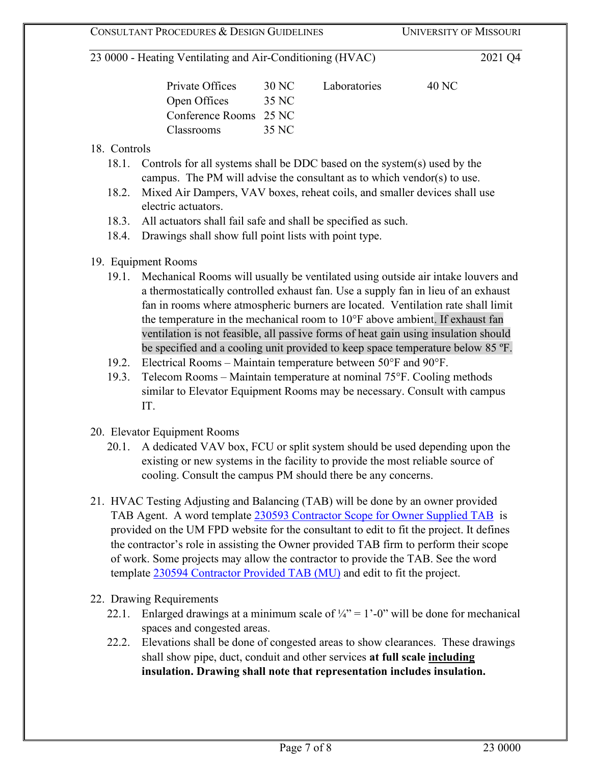| Private Offices        | 30 NC | Laboratories | 40 NC |
|------------------------|-------|--------------|-------|
| Open Offices           | 35 NC |              |       |
| Conference Rooms 25 NC |       |              |       |
| <b>Classrooms</b>      | 35 NC |              |       |

## 18. Controls

- 18.1. Controls for all systems shall be DDC based on the system(s) used by the campus. The PM will advise the consultant as to which vendor(s) to use.
- 18.2. Mixed Air Dampers, VAV boxes, reheat coils, and smaller devices shall use electric actuators.
- 18.3. All actuators shall fail safe and shall be specified as such.
- 18.4. Drawings shall show full point lists with point type.

## 19. Equipment Rooms

- 19.1. Mechanical Rooms will usually be ventilated using outside air intake louvers and a thermostatically controlled exhaust fan. Use a supply fan in lieu of an exhaust fan in rooms where atmospheric burners are located. Ventilation rate shall limit the temperature in the mechanical room to 10°F above ambient. If exhaust fan ventilation is not feasible, all passive forms of heat gain using insulation should be specified and a cooling unit provided to keep space temperature below 85 ºF.
- 19.2. Electrical Rooms Maintain temperature between 50°F and 90°F.
- 19.3. Telecom Rooms Maintain temperature at nominal 75°F. Cooling methods similar to Elevator Equipment Rooms may be necessary. Consult with campus IT.
- 20. Elevator Equipment Rooms
	- 20.1. A dedicated VAV box, FCU or split system should be used depending upon the existing or new systems in the facility to provide the most reliable source of cooling. Consult the campus PM should there be any concerns.
- 21. HVAC Testing Adjusting and Balancing (TAB) will be done by an owner provided TAB Agent. A word template [230593 Contractor Scope for](https://collaborate.umsystem.edu/sites/fpd/public/docs/230593%20Contractor%20Scope%20for%20Owner%20Supplied%20TAB.pdf) Owner Supplied TA[B](https://collaborate.umsystem.edu/sites/fpd/public/docs/230593%20Contractor%20Scope%20for%20Owner%20Supplied%20TAB.pdf) is provided on the UM FPD website for the consultant to edit to fit the project. It defines the contractor's role in assisting the Owner provided TAB firm to perform their scope of work. Some projects may allow the contractor to provide the TAB. See the word template [230594 Contractor Provided TAB \(MU\)](https://collaborate.umsystem.edu/sites/fpd/public/docs/230594_Contractor_Provided_TAB%20(MU).docx) [a](https://collaborate.umsystem.edu/sites/fpd/public/docs/230594_Contractor_Provided_TAB%20(MU).docx)nd edit to fit the project.
- 22. Drawing Requirements
	- 22.1. Enlarged drawings at a minimum scale of  $\frac{1}{4}$ " = 1'-0" will be done for mechanical spaces and congested areas.
	- 22.2. Elevations shall be done of congested areas to show clearances. These drawings shall show pipe, duct, conduit and other services **at full scale including insulation. Drawing shall note that representation includes insulation.**